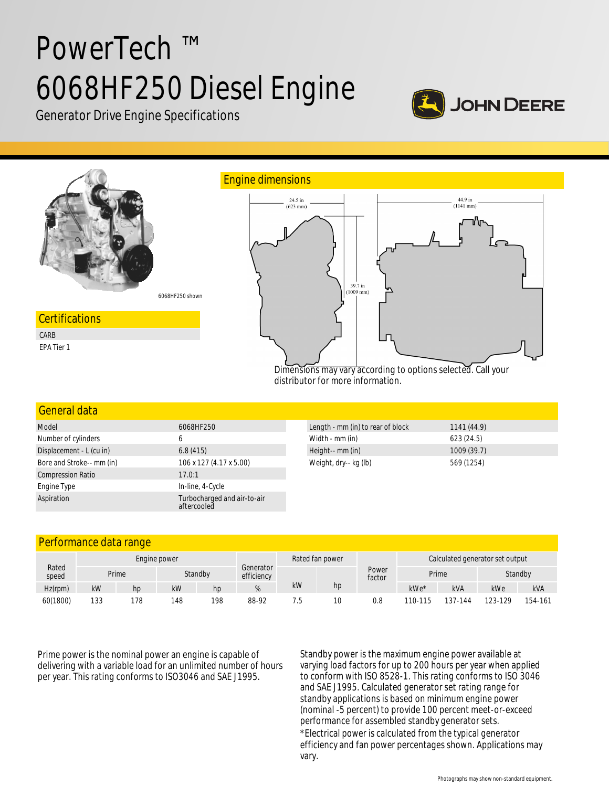# PowerTech ™ 6068HF250 Diesel Engine



Generator Drive Engine Specifications



| General data              |                                            |                                   |             |  |
|---------------------------|--------------------------------------------|-----------------------------------|-------------|--|
| Model                     | 6068HF250                                  | Length - mm (in) to rear of block | 1141(44.9)  |  |
| Number of cylinders       | <sub>6</sub>                               | Width - mm (in)                   | 623(24.5)   |  |
| Displacement - L (cu in)  | 6.8(415)                                   | Height-- mm (in)                  | 1009 (39.7) |  |
| Bore and Stroke-- mm (in) | 106 x 127 (4.17 x 5.00)                    | Weight, dry-- kg (lb)             | 569 (1254)  |  |
| <b>Compression Ratio</b>  | 17.0:1                                     |                                   |             |  |
| Engine Type               | In-line, 4-Cycle                           |                                   |             |  |
| Aspiration                | Turbocharged and air-to-air<br>aftercooled |                                   |             |  |

#### Performance data range

| Rated<br>speed | Engine power |       |     |         |                         | Rated fan power |    | Calculated generator set output |         |         |         |            |
|----------------|--------------|-------|-----|---------|-------------------------|-----------------|----|---------------------------------|---------|---------|---------|------------|
|                |              | Prime |     | Standby | Generator<br>efficiency |                 |    | Power<br>factor                 | Prime   |         | Standby |            |
| Hz(rpm)        | kW           | hp    | kW  | hp.     |                         | kW              | hp |                                 | kWe*    | kVA     | kWe     | <b>kVA</b> |
| 60(1800)       | 133          | 178   | 148 | 198     | 88-92                   |                 |    | 0.8                             | 110-115 | 137-144 | 123-129 | 154-161    |

Prime power is the nominal power an engine is capable of delivering with a variable load for an unlimited number of hours per year. This rating conforms to ISO3046 and SAE J1995.

Standby power is the maximum engine power available at varying load factors for up to 200 hours per year when applied to conform with ISO 8528-1. This rating conforms to ISO 3046 and SAE J1995. Calculated generator set rating range for standby applications is based on minimum engine power (nominal -5 percent) to provide 100 percent meet-or-exceed performance for assembled standby generator sets. \*Electrical power is calculated from the typical generator efficiency and fan power percentages shown. Applications may vary.